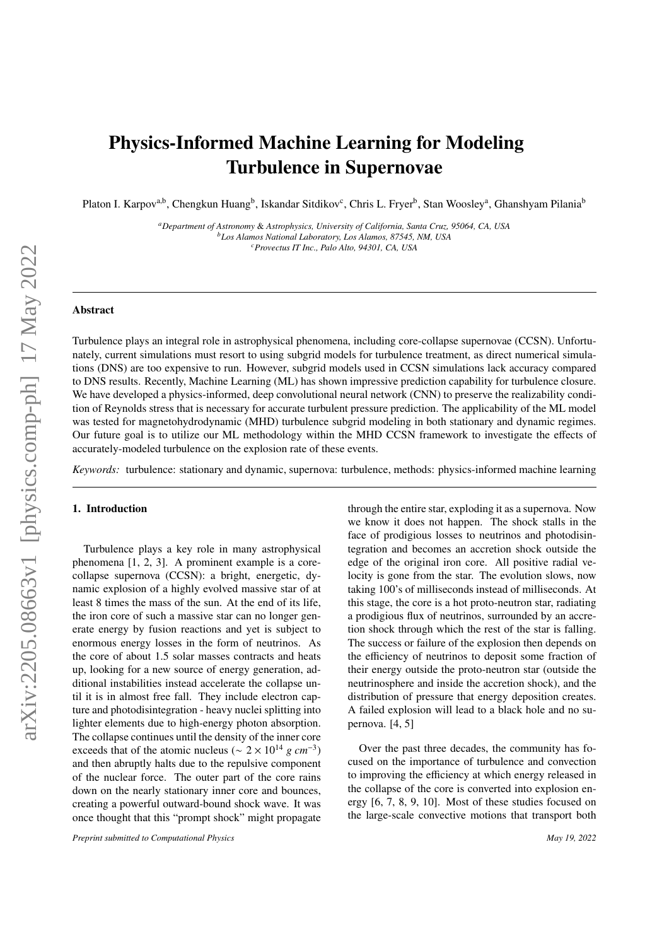## Physics-Informed Machine Learning for Modeling Turbulence in Supernovae

Platon I. Karpov<sup>a,b</sup>, Chengkun Huang<sup>b</sup>, Iskandar Sitdikov<sup>c</sup>, Chris L. Fryer<sup>b</sup>, Stan Woosley<sup>a</sup>, Ghanshyam Pilania<sup>b</sup>

*<sup>a</sup>Department of Astronomy* & *Astrophysics, University of California, Santa Cruz, 95064, CA, USA <sup>b</sup>Los Alamos National Laboratory, Los Alamos, 87545, NM, USA <sup>c</sup>Provectus IT Inc., Palo Alto, 94301, CA, USA*

## Abstract

Turbulence plays an integral role in astrophysical phenomena, including core-collapse supernovae (CCSN). Unfortunately, current simulations must resort to using subgrid models for turbulence treatment, as direct numerical simulations (DNS) are too expensive to run. However, subgrid models used in CCSN simulations lack accuracy compared to DNS results. Recently, Machine Learning (ML) has shown impressive prediction capability for turbulence closure. We have developed a physics-informed, deep convolutional neural network (CNN) to preserve the realizability condition of Reynolds stress that is necessary for accurate turbulent pressure prediction. The applicability of the ML model was tested for magnetohydrodynamic (MHD) turbulence subgrid modeling in both stationary and dynamic regimes. Our future goal is to utilize our ML methodology within the MHD CCSN framework to investigate the effects of accurately-modeled turbulence on the explosion rate of these events.

*Keywords:* turbulence: stationary and dynamic, supernova: turbulence, methods: physics-informed machine learning

## 1. Introduction

Turbulence plays a key role in many astrophysical phenomena [1, 2, 3]. A prominent example is a corecollapse supernova (CCSN): a bright, energetic, dynamic explosion of a highly evolved massive star of at least 8 times the mass of the sun. At the end of its life, the iron core of such a massive star can no longer generate energy by fusion reactions and yet is subject to enormous energy losses in the form of neutrinos. As the core of about 1.5 solar masses contracts and heats up, looking for a new source of energy generation, additional instabilities instead accelerate the collapse until it is in almost free fall. They include electron capture and photodisintegration - heavy nuclei splitting into lighter elements due to high-energy photon absorption. The collapse continues until the density of the inner core exceeds that of the atomic nucleus ( $\sim 2 \times 10^{14}$  *g cm*<sup>-3</sup>) and then abruptly halts due to the repulsive component of the nuclear force. The outer part of the core rains down on the nearly stationary inner core and bounces, creating a powerful outward-bound shock wave. It was once thought that this "prompt shock" might propagate

*Preprint submitted to Computational Physics May 19, 2022*

through the entire star, exploding it as a supernova. Now we know it does not happen. The shock stalls in the face of prodigious losses to neutrinos and photodisintegration and becomes an accretion shock outside the edge of the original iron core. All positive radial velocity is gone from the star. The evolution slows, now taking 100's of milliseconds instead of milliseconds. At this stage, the core is a hot proto-neutron star, radiating a prodigious flux of neutrinos, surrounded by an accretion shock through which the rest of the star is falling. The success or failure of the explosion then depends on the efficiency of neutrinos to deposit some fraction of their energy outside the proto-neutron star (outside the neutrinosphere and inside the accretion shock), and the distribution of pressure that energy deposition creates. A failed explosion will lead to a black hole and no supernova. [4, 5]

Over the past three decades, the community has focused on the importance of turbulence and convection to improving the efficiency at which energy released in the collapse of the core is converted into explosion energy [6, 7, 8, 9, 10]. Most of these studies focused on the large-scale convective motions that transport both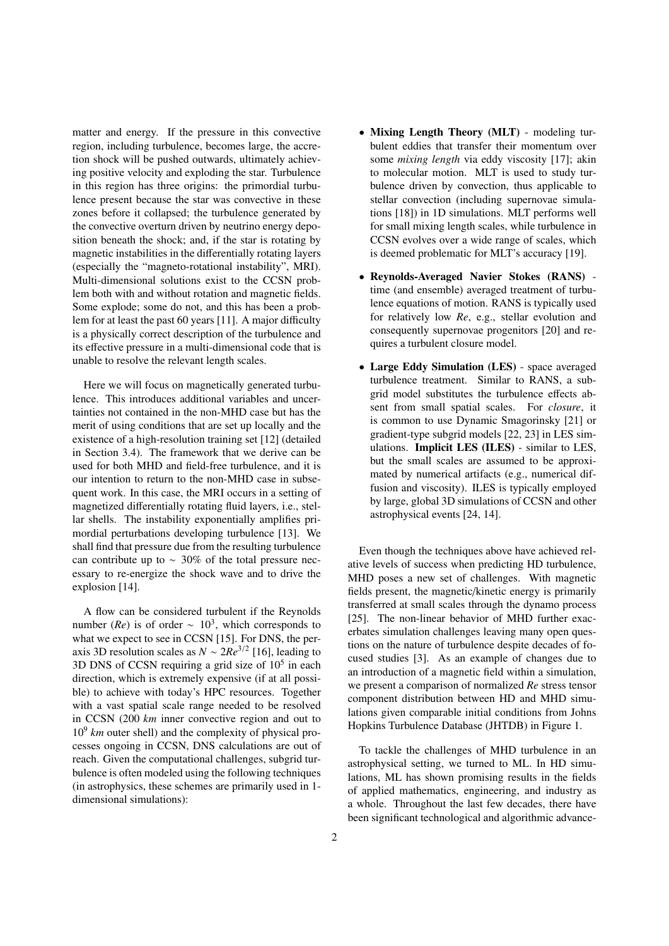matter and energy. If the pressure in this convective region, including turbulence, becomes large, the accretion shock will be pushed outwards, ultimately achieving positive velocity and exploding the star. Turbulence in this region has three origins: the primordial turbulence present because the star was convective in these zones before it collapsed; the turbulence generated by the convective overturn driven by neutrino energy deposition beneath the shock; and, if the star is rotating by magnetic instabilities in the differentially rotating layers (especially the "magneto-rotational instability", MRI). Multi-dimensional solutions exist to the CCSN problem both with and without rotation and magnetic fields. Some explode; some do not, and this has been a problem for at least the past 60 years [11]. A major difficulty is a physically correct description of the turbulence and its effective pressure in a multi-dimensional code that is unable to resolve the relevant length scales.

Here we will focus on magnetically generated turbulence. This introduces additional variables and uncertainties not contained in the non-MHD case but has the merit of using conditions that are set up locally and the existence of a high-resolution training set [12] (detailed in Section 3.4). The framework that we derive can be used for both MHD and field-free turbulence, and it is our intention to return to the non-MHD case in subsequent work. In this case, the MRI occurs in a setting of magnetized differentially rotating fluid layers, i.e., stellar shells. The instability exponentially amplifies primordial perturbations developing turbulence [13]. We shall find that pressure due from the resulting turbulence can contribute up to ∼ 30% of the total pressure necessary to re-energize the shock wave and to drive the explosion [14].

A flow can be considered turbulent if the Reynolds number ( $Re$ ) is of order ~ 10<sup>3</sup>, which corresponds to what we expect to see in CCSN [15]. For DNS, the peraxis 3D resolution scales as  $N \sim 2Re^{3/2}$  [16], leading to 3D DNS of CCSN requiring a grid size of  $10<sup>5</sup>$  in each direction, which is extremely expensive (if at all possible) to achieve with today's HPC resources. Together with a vast spatial scale range needed to be resolved in CCSN (200 *km* inner convective region and out to 10<sup>9</sup> *km* outer shell) and the complexity of physical processes ongoing in CCSN, DNS calculations are out of reach. Given the computational challenges, subgrid turbulence is often modeled using the following techniques (in astrophysics, these schemes are primarily used in 1 dimensional simulations):

- Mixing Length Theory (MLT) modeling turbulent eddies that transfer their momentum over some *mixing length* via eddy viscosity [17]; akin to molecular motion. MLT is used to study turbulence driven by convection, thus applicable to stellar convection (including supernovae simulations [18]) in 1D simulations. MLT performs well for small mixing length scales, while turbulence in CCSN evolves over a wide range of scales, which is deemed problematic for MLT's accuracy [19].
- Reynolds-Averaged Navier Stokes (RANS) time (and ensemble) averaged treatment of turbulence equations of motion. RANS is typically used for relatively low *Re*, e.g., stellar evolution and consequently supernovae progenitors [20] and requires a turbulent closure model.
- Large Eddy Simulation (LES) space averaged turbulence treatment. Similar to RANS, a subgrid model substitutes the turbulence effects absent from small spatial scales. For *closure*, it is common to use Dynamic Smagorinsky [21] or gradient-type subgrid models [22, 23] in LES simulations. Implicit LES (ILES) - similar to LES, but the small scales are assumed to be approximated by numerical artifacts (e.g., numerical diffusion and viscosity). ILES is typically employed by large, global 3D simulations of CCSN and other astrophysical events [24, 14].

Even though the techniques above have achieved relative levels of success when predicting HD turbulence, MHD poses a new set of challenges. With magnetic fields present, the magnetic/kinetic energy is primarily transferred at small scales through the dynamo process [25]. The non-linear behavior of MHD further exacerbates simulation challenges leaving many open questions on the nature of turbulence despite decades of focused studies [3]. As an example of changes due to an introduction of a magnetic field within a simulation, we present a comparison of normalized *Re* stress tensor component distribution between HD and MHD simulations given comparable initial conditions from Johns Hopkins Turbulence Database (JHTDB) in Figure 1.

To tackle the challenges of MHD turbulence in an astrophysical setting, we turned to ML. In HD simulations, ML has shown promising results in the fields of applied mathematics, engineering, and industry as a whole. Throughout the last few decades, there have been significant technological and algorithmic advance-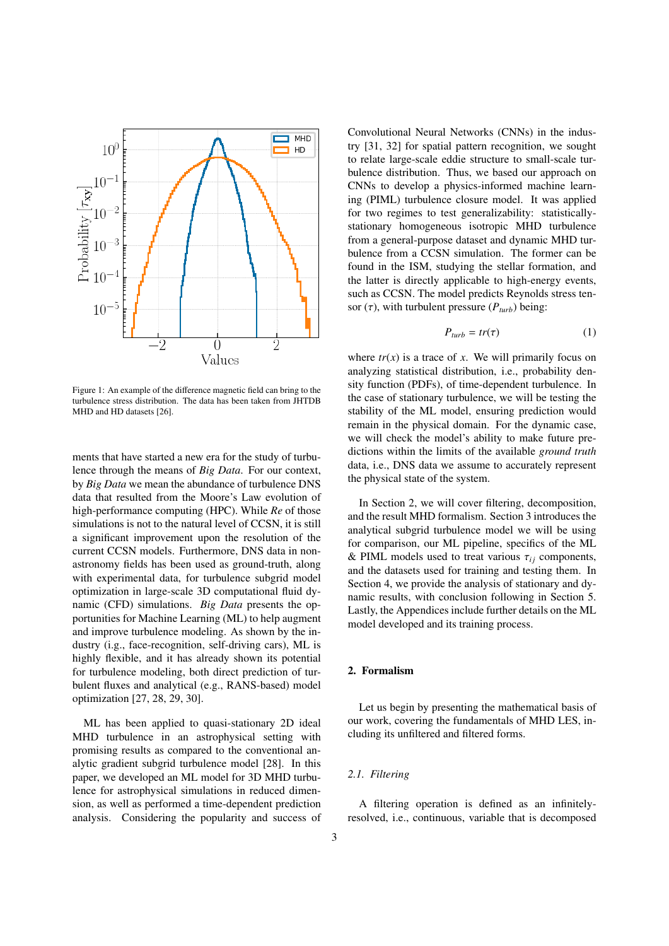

Figure 1: An example of the difference magnetic field can bring to the turbulence stress distribution. The data has been taken from JHTDB MHD and HD datasets [26].

ments that have started a new era for the study of turbulence through the means of *Big Data*. For our context, by *Big Data* we mean the abundance of turbulence DNS data that resulted from the Moore's Law evolution of high-performance computing (HPC). While *Re* of those simulations is not to the natural level of CCSN, it is still a significant improvement upon the resolution of the current CCSN models. Furthermore, DNS data in nonastronomy fields has been used as ground-truth, along with experimental data, for turbulence subgrid model optimization in large-scale 3D computational fluid dynamic (CFD) simulations. *Big Data* presents the opportunities for Machine Learning (ML) to help augment and improve turbulence modeling. As shown by the industry (i.g., face-recognition, self-driving cars), ML is highly flexible, and it has already shown its potential for turbulence modeling, both direct prediction of turbulent fluxes and analytical (e.g., RANS-based) model optimization [27, 28, 29, 30].

ML has been applied to quasi-stationary 2D ideal MHD turbulence in an astrophysical setting with promising results as compared to the conventional analytic gradient subgrid turbulence model [28]. In this paper, we developed an ML model for 3D MHD turbulence for astrophysical simulations in reduced dimension, as well as performed a time-dependent prediction analysis. Considering the popularity and success of Convolutional Neural Networks (CNNs) in the industry [31, 32] for spatial pattern recognition, we sought to relate large-scale eddie structure to small-scale turbulence distribution. Thus, we based our approach on CNNs to develop a physics-informed machine learning (PIML) turbulence closure model. It was applied for two regimes to test generalizability: statisticallystationary homogeneous isotropic MHD turbulence from a general-purpose dataset and dynamic MHD turbulence from a CCSN simulation. The former can be found in the ISM, studying the stellar formation, and the latter is directly applicable to high-energy events, such as CCSN. The model predicts Reynolds stress tensor  $(\tau)$ , with turbulent pressure  $(P_{turb})$  being:

$$
P_{turb} = tr(\tau) \tag{1}
$$

where  $tr(x)$  is a trace of *x*. We will primarily focus on analyzing statistical distribution, i.e., probability density function (PDFs), of time-dependent turbulence. In the case of stationary turbulence, we will be testing the stability of the ML model, ensuring prediction would remain in the physical domain. For the dynamic case, we will check the model's ability to make future predictions within the limits of the available *ground truth* data, i.e., DNS data we assume to accurately represent the physical state of the system.

In Section 2, we will cover filtering, decomposition, and the result MHD formalism. Section 3 introduces the analytical subgrid turbulence model we will be using for comparison, our ML pipeline, specifics of the ML & PIML models used to treat various  $\tau_{ij}$  components, and the datasets used for training and testing them. In Section 4, we provide the analysis of stationary and dynamic results, with conclusion following in Section 5. Lastly, the Appendices include further details on the ML model developed and its training process.

## 2. Formalism

Let us begin by presenting the mathematical basis of our work, covering the fundamentals of MHD LES, including its unfiltered and filtered forms.

## *2.1. Filtering*

A filtering operation is defined as an infinitelyresolved, i.e., continuous, variable that is decomposed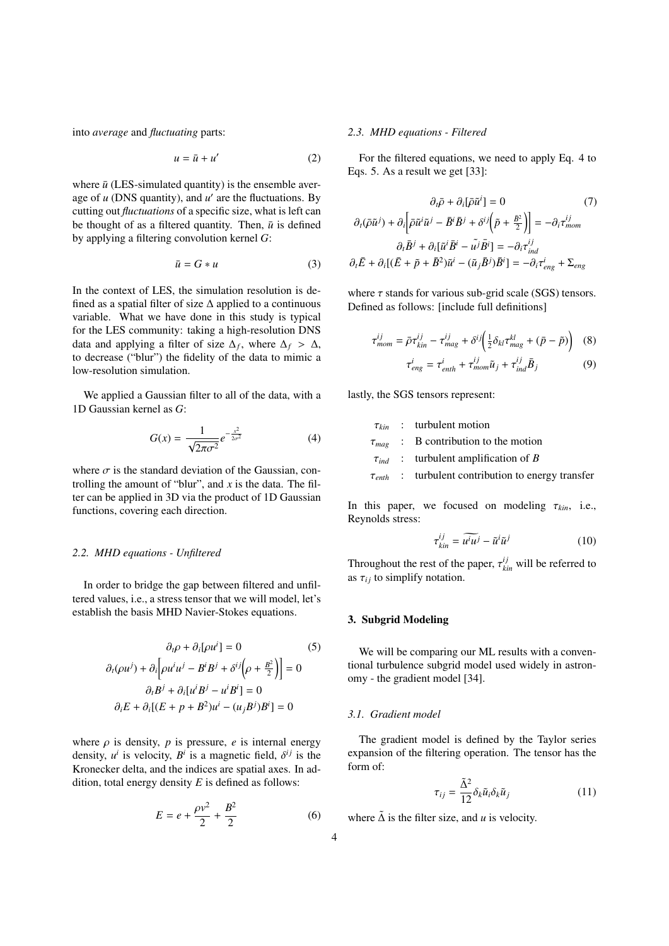into *average* and *fluctuating* parts:

$$
u = \bar{u} + u'
$$
 (2)

where  $\bar{u}$  (LES-simulated quantity) is the ensemble average of  $u$  (DNS quantity), and  $u'$  are the fluctuations. By cutting out *fluctuations* of a specific size, what is left can be thought of as a filtered quantity. Then,  $\bar{u}$  is defined by applying a filtering convolution kernel *G*:

$$
\bar{u} = G * u \tag{3}
$$

In the context of LES, the simulation resolution is defined as a spatial filter of size ∆ applied to a continuous variable. What we have done in this study is typical for the LES community: taking a high-resolution DNS data and applying a filter of size  $\Delta_f$ , where  $\Delta_f > \Delta$ , to decrease ("blur") the fidelity of the data to mimic a to decrease ("blur") the fidelity of the data to mimic a low-resolution simulation.

We applied a Gaussian filter to all of the data, with a 1D Gaussian kernel as *G*:

$$
G(x) = \frac{1}{\sqrt{2\pi\sigma^2}} e^{-\frac{x^2}{2\sigma^2}} \tag{4}
$$

where  $\sigma$  is the standard deviation of the Gaussian, controlling the amount of "blur", and *x* is the data. The filter can be applied in 3D via the product of 1D Gaussian functions, covering each direction.

#### *2.2. MHD equations - Unfiltered*

In order to bridge the gap between filtered and unfiltered values, i.e., a stress tensor that we will model, let's establish the basis MHD Navier-Stokes equations.

$$
\partial_t \rho + \partial_i[\rho u^i] = 0 \tag{5}
$$

$$
\partial_t(\rho u^j) + \partial_i[\rho u^i u^j - B^i B^j + \delta^{ij}(\rho + \frac{B^2}{2})] = 0
$$

$$
\partial_t B^j + \partial_i[u^i B^j - u^i B^i] = 0
$$

$$
\partial_i E + \partial_i[(E + p + B^2)u^i - (u_j B^j)B^i] = 0
$$

where  $\rho$  is density,  $p$  is pressure,  $e$  is internal energy density,  $u^i$  is velocity,  $B^i$  is a magnetic field,  $\delta^{ij}$  is the Kronecker delta and the indices are spatial aves. In ad-Kronecker delta, and the indices are spatial axes. In addition, total energy density *E* is defined as follows:

$$
E = e + \frac{\rho v^2}{2} + \frac{B^2}{2}
$$
 (6)

#### *2.3. MHD equations - Filtered*

For the filtered equations, we need to apply Eq. 4 to Eqs. 5. As a result we get [33]:

$$
\partial_i \bar{\rho} + \partial_i [\bar{\rho} \tilde{u}^i] = 0 \qquad (7)
$$

$$
\partial_i (\bar{\rho} \tilde{u}^j) + \partial_i [\bar{\rho} \tilde{u}^i \tilde{u}^j - \bar{B}^i \bar{B}^j + \delta^{ij} (\tilde{p} + \frac{\bar{B}^2}{2})] = -\partial_i \tau_{mom}^{ij}
$$

$$
\partial_i \bar{B}^j + \partial_i [\tilde{u}^i \bar{B}^i - \tilde{u}^j \bar{B}^i] = -\partial_i \tau_{ind}^{ij}
$$

$$
\partial_i \bar{E} + \partial_i [(\bar{E} + \tilde{p} + \bar{B}^2) \tilde{u}^i - (\tilde{u}_j \bar{B}^j) \bar{B}^i] = -\partial_i \tau_{eng}^i + \Sigma_{eng}
$$

where  $\tau$  stands for various sub-grid scale (SGS) tensors. Defined as follows: [include full definitions]

$$
\tau_{mom}^{ij} = \bar{\rho}\tau_{kin}^{ij} - \tau_{mag}^{ij} + \delta^{ij} \left(\frac{1}{2}\delta_{kl}\tau_{mag}^{kl} + (\bar{p} - \tilde{p})\right) \quad (8)
$$

$$
\tau_{eng}^{i} = \tau_{enth}^{i} + \tau_{mom}^{ij}\tilde{u}_{j} + \tau_{ind}^{ij}\bar{B}_{j} \quad (9)
$$

lastly, the SGS tensors represent:

 $\tau_{kin}$  : turbulent motion<br> $\tau_{mag}$  : B contribution to  $\tau_{mag}$  : B contribution to the motion<br> $\tau_{ind}$  : turbulent amplification of B  $\tau_{ind}$  : turbulent amplification of *B*<br>  $\tau_{enth}$  : turbulent contribution to enc *turbulent* contribution to energy transfer

In this paper, we focused on modeling  $\tau_{kin}$ , i.e., Reynolds stress:

$$
\tau_{kin}^{ij} = \widetilde{u^i u^j} - \widetilde{u}^i \widetilde{u}^j \tag{10}
$$

Throughout the rest of the paper,  $\tau_{kin}^{ij}$  will be referred to as  $\tau_{ki}$  to simplify notation as  $\tau_{ij}$  to simplify notation.

## 3. Subgrid Modeling

We will be comparing our ML results with a conventional turbulence subgrid model used widely in astronomy - the gradient model [34].

## *3.1. Gradient model*

The gradient model is defined by the Taylor series expansion of the filtering operation. The tensor has the form of:

$$
\tau_{ij} = \frac{\tilde{\Delta}^2}{12} \delta_k \tilde{u}_i \delta_k \tilde{u}_j \tag{11}
$$

where  $\tilde{\Delta}$  is the filter size, and *u* is velocity.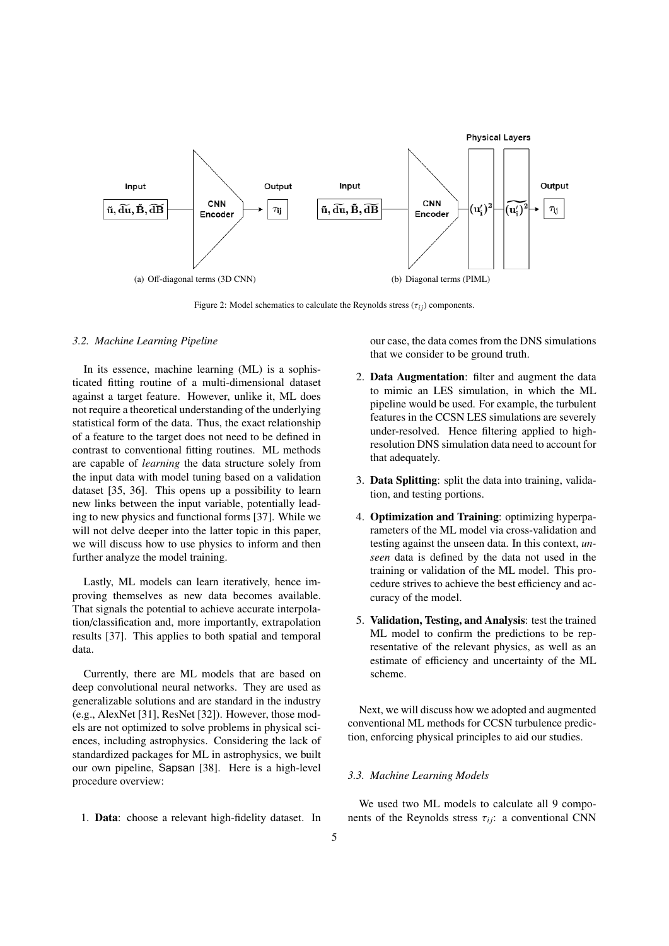

Figure 2: Model schematics to calculate the Reynolds stress  $(\tau_{ij})$  components.

#### *3.2. Machine Learning Pipeline*

In its essence, machine learning (ML) is a sophisticated fitting routine of a multi-dimensional dataset against a target feature. However, unlike it, ML does not require a theoretical understanding of the underlying statistical form of the data. Thus, the exact relationship of a feature to the target does not need to be defined in contrast to conventional fitting routines. ML methods are capable of *learning* the data structure solely from the input data with model tuning based on a validation dataset [35, 36]. This opens up a possibility to learn new links between the input variable, potentially leading to new physics and functional forms [37]. While we will not delve deeper into the latter topic in this paper, we will discuss how to use physics to inform and then further analyze the model training.

Lastly, ML models can learn iteratively, hence improving themselves as new data becomes available. That signals the potential to achieve accurate interpolation/classification and, more importantly, extrapolation results [37]. This applies to both spatial and temporal data.

Currently, there are ML models that are based on deep convolutional neural networks. They are used as generalizable solutions and are standard in the industry (e.g., AlexNet [31], ResNet [32]). However, those models are not optimized to solve problems in physical sciences, including astrophysics. Considering the lack of standardized packages for ML in astrophysics, we built our own pipeline, Sapsan [38]. Here is a high-level procedure overview:

1. Data: choose a relevant high-fidelity dataset. In

our case, the data comes from the DNS simulations that we consider to be ground truth.

- 2. Data Augmentation: filter and augment the data to mimic an LES simulation, in which the ML pipeline would be used. For example, the turbulent features in the CCSN LES simulations are severely under-resolved. Hence filtering applied to highresolution DNS simulation data need to account for that adequately.
- 3. Data Splitting: split the data into training, validation, and testing portions.
- 4. Optimization and Training: optimizing hyperparameters of the ML model via cross-validation and testing against the unseen data. In this context, *unseen* data is defined by the data not used in the training or validation of the ML model. This procedure strives to achieve the best efficiency and accuracy of the model.
- 5. Validation, Testing, and Analysis: test the trained ML model to confirm the predictions to be representative of the relevant physics, as well as an estimate of efficiency and uncertainty of the ML scheme.

Next, we will discuss how we adopted and augmented conventional ML methods for CCSN turbulence prediction, enforcing physical principles to aid our studies.

## *3.3. Machine Learning Models*

We used two ML models to calculate all 9 components of the Reynolds stress  $\tau_{ii}$ : a conventional CNN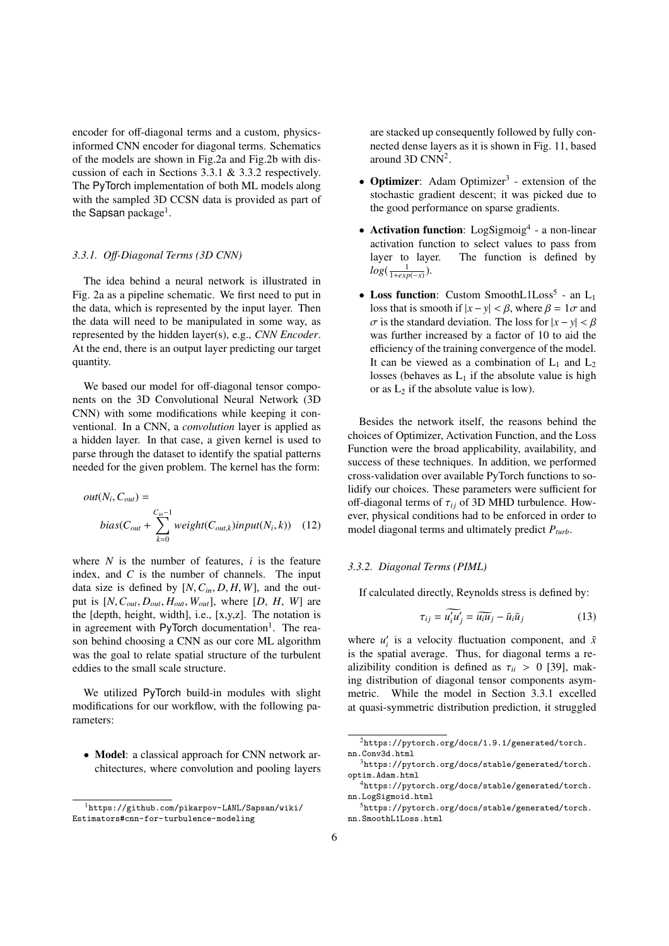encoder for off-diagonal terms and a custom, physicsinformed CNN encoder for diagonal terms. Schematics of the models are shown in Fig.2a and Fig.2b with discussion of each in Sections 3.3.1 & 3.3.2 respectively. The PyTorch implementation of both ML models along with the sampled 3D CCSN data is provided as part of the Sapsan package<sup>1</sup>.

## *3.3.1. O*ff*-Diagonal Terms (3D CNN)*

The idea behind a neural network is illustrated in Fig. 2a as a pipeline schematic. We first need to put in the data, which is represented by the input layer. Then the data will need to be manipulated in some way, as represented by the hidden layer(s), e.g., *CNN Encoder*. At the end, there is an output layer predicting our target quantity.

We based our model for off-diagonal tensor components on the 3D Convolutional Neural Network (3D CNN) with some modifications while keeping it conventional. In a CNN, a *convolution* layer is applied as a hidden layer. In that case, a given kernel is used to parse through the dataset to identify the spatial patterns needed for the given problem. The kernel has the form:

$$
out(N_i, C_{out}) =
$$
  
\n
$$
bias(C_{out} + \sum_{k=0}^{C_{in}-1} weight(C_{out,k}) input(N_i, k))
$$
 (12)

where  $N$  is the number of features,  $i$  is the feature index, and *C* is the number of channels. The input data size is defined by  $[N, C_{in}, D, H, W]$ , and the output is [*N*,*Cout*, *<sup>D</sup>out*, *<sup>H</sup>out*, *<sup>W</sup>out*], where [*D*, *<sup>H</sup>*, *<sup>W</sup>*] are the [depth, height, width], i.e., [x,y,z]. The notation is in agreement with PyTorch documentation<sup>1</sup>. The reason behind choosing a CNN as our core ML algorithm was the goal to relate spatial structure of the turbulent eddies to the small scale structure.

We utilized PyTorch build-in modules with slight modifications for our workflow, with the following parameters:

• Model: a classical approach for CNN network architectures, where convolution and pooling layers are stacked up consequently followed by fully connected dense layers as it is shown in Fig. 11, based around  $3D CNN^2$ .

- Optimizer: Adam Optimizer<sup>3</sup> extension of the stochastic gradient descent; it was picked due to the good performance on sparse gradients.
- $\bullet$  Activation function: LogSigmoig<sup>4</sup> a non-linear activation function to select values to pass from layer to layer. The function is defined by  $log(\frac{1}{1+exp(-x)}).$
- Loss function: Custom SmoothL1Loss<sup>5</sup> an  $L_1$ loss that is smooth if  $|x - y| < \beta$ , where  $\beta = 1\sigma$  and  $\sigma$  is the standard deviation. The loss for  $|x - y| < \beta$ was further increased by a factor of 10 to aid the efficiency of the training convergence of the model. It can be viewed as a combination of  $L_1$  and  $L_2$ losses (behaves as  $L_1$  if the absolute value is high or as  $L_2$  if the absolute value is low).

Besides the network itself, the reasons behind the choices of Optimizer, Activation Function, and the Loss Function were the broad applicability, availability, and success of these techniques. In addition, we performed cross-validation over available PyTorch functions to solidify our choices. These parameters were sufficient for off-diagonal terms of  $\tau_{ij}$  of 3D MHD turbulence. However, physical conditions had to be enforced in order to model diagonal terms and ultimately predict *Pturb*.

#### *3.3.2. Diagonal Terms (PIML)*

If calculated directly, Reynolds stress is defined by:

$$
\tau_{ij} = \widetilde{u'_i u'_j} = \widetilde{u_i u_j} - \widetilde{u}_i \widetilde{u}_j \tag{13}
$$

where  $u'_i$  is a velocity fluctuation component, and  $\tilde{x}$ is the spatial average. Thus, for diagonal terms a realizibility condition is defined as  $\tau_{ii} > 0$  [39], making distribution of diagonal tensor components asymmetric. While the model in Section 3.3.1 excelled at quasi-symmetric distribution prediction, it struggled

<sup>1</sup>https://github.com/pikarpov-LANL/Sapsan/wiki/ Estimators#cnn-for-turbulence-modeling

 $2$ https://pytorch.org/docs/1.9.1/generated/torch. nn.Conv3d.html

 $3$ https://pytorch.org/docs/stable/generated/torch. optim.Adam.html

<sup>4</sup>https://pytorch.org/docs/stable/generated/torch. nn.LogSigmoid.html

<sup>5</sup>https://pytorch.org/docs/stable/generated/torch. nn.SmoothL1Loss.html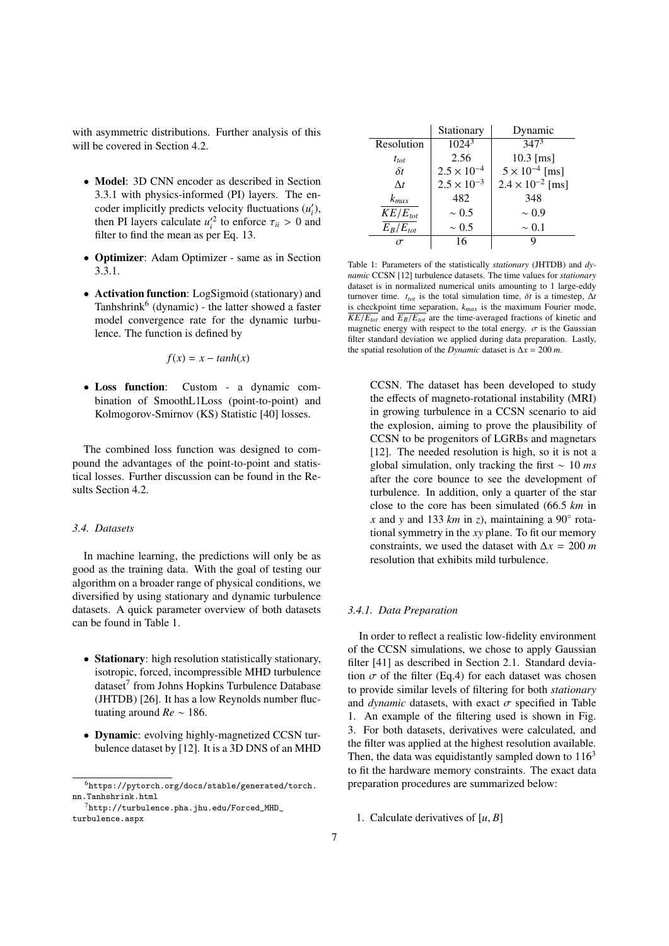with asymmetric distributions. Further analysis of this will be covered in Section 4.2.

- Model: 3D CNN encoder as described in Section 3.3.1 with physics-informed (PI) layers. The encoder implicitly predicts velocity fluctuations  $(u'_i)$ , then PI layers calculate  $u_i'^2$  to enforce  $\tau_{ii} > 0$  and filter to find the mean as per Eq. 13 filter to find the mean as per Eq. 13.
- Optimizer: Adam Optimizer same as in Section 3.3.1.
- Activation function: LogSigmoid (stationary) and Tanhshrink<sup>6</sup> (dynamic) - the latter showed a faster model convergence rate for the dynamic turbulence. The function is defined by

$$
f(x) = x - \tanh(x)
$$

• Loss function: Custom - a dynamic combination of SmoothL1Loss (point-to-point) and Kolmogorov-Smirnov (KS) Statistic [40] losses.

The combined loss function was designed to compound the advantages of the point-to-point and statistical losses. Further discussion can be found in the Results Section 4.2.

## *3.4. Datasets*

In machine learning, the predictions will only be as good as the training data. With the goal of testing our algorithm on a broader range of physical conditions, we diversified by using stationary and dynamic turbulence datasets. A quick parameter overview of both datasets can be found in Table 1.

- Stationary: high resolution statistically stationary, isotropic, forced, incompressible MHD turbulence dataset<sup>7</sup> from Johns Hopkins Turbulence Database (JHTDB) [26]. It has a low Reynolds number fluctuating around *Re* ∼ 186.
- Dynamic: evolving highly-magnetized CCSN turbulence dataset by [12]. It is a 3D DNS of an MHD

|               | Stationary           | Dynamic                   |
|---------------|----------------------|---------------------------|
| Resolution    | $\overline{1024^3}$  | $347^3$                   |
| $t_{tot}$     | 2.56                 | $10.3$ [ms]               |
| $\delta t$    | $2.5 \times 10^{-4}$ | $5 \times 10^{-4}$ [ms]   |
| $\Delta t$    | $2.5 \times 10^{-3}$ | $2.4 \times 10^{-2}$ [ms] |
| $k_{max}$     | 482                  | 348                       |
| $KE/E_{tot}$  | $\sim 0.5$           | $\sim 0.9$                |
| $E_B/E_{tot}$ | $\sim 0.5$           | $\sim 0.1$                |
|               | 16                   |                           |
|               |                      |                           |

Table 1: Parameters of the statistically *stationary* (JHTDB) and *dynamic* CCSN [12] turbulence datasets. The time values for *stationary* dataset is in normalized numerical units amounting to 1 large-eddy turnover time.  $t_{tot}$  is the total simulation time,  $\delta t$  is a timestep,  $\Delta t$ is checkpoint time separation, *kmax* is the maximum Fourier mode,  $\overline{KE/E_{tot}}$  and  $\overline{E_B/E_{tot}}$  are the time-averaged fractions of kinetic and magnetic energy with respect to the total energy.  $\sigma$  is the Gaussian filter standard deviation we applied during data preparation. Lastly, the spatial resolution of the *Dynamic* dataset is  $\Delta x = 200$  *m*.

CCSN. The dataset has been developed to study the effects of magneto-rotational instability (MRI) in growing turbulence in a CCSN scenario to aid the explosion, aiming to prove the plausibility of CCSN to be progenitors of LGRBs and magnetars [12]. The needed resolution is high, so it is not a global simulation, only tracking the first ∼ 10 *ms* after the core bounce to see the development of turbulence. In addition, only a quarter of the star close to the core has been simulated (66.<sup>5</sup> *km* in *x* and *y* and 133  $km$  in *z*), maintaining a 90 $\degree$  rotational symmetry in the *xy* plane. To fit our memory constraints, we used the dataset with  $\Delta x = 200$  *m* resolution that exhibits mild turbulence.

## *3.4.1. Data Preparation*

In order to reflect a realistic low-fidelity environment of the CCSN simulations, we chose to apply Gaussian filter [41] as described in Section 2.1. Standard deviation  $\sigma$  of the filter (Eq.4) for each dataset was chosen to provide similar levels of filtering for both *stationary* and *dynamic* datasets, with exact  $\sigma$  specified in Table 1. An example of the filtering used is shown in Fig. 3. For both datasets, derivatives were calculated, and the filter was applied at the highest resolution available. Then, the data was equidistantly sampled down to  $116<sup>3</sup>$ to fit the hardware memory constraints. The exact data preparation procedures are summarized below:

1. Calculate derivatives of [*u*, *<sup>B</sup>*]

 $^6$ https://pytorch.org/docs/stable/generated/torch. nn.Tanhshrink.html

 $7$ http://turbulence.pha.jhu.edu/Forced\_MHD\_ turbulence.aspx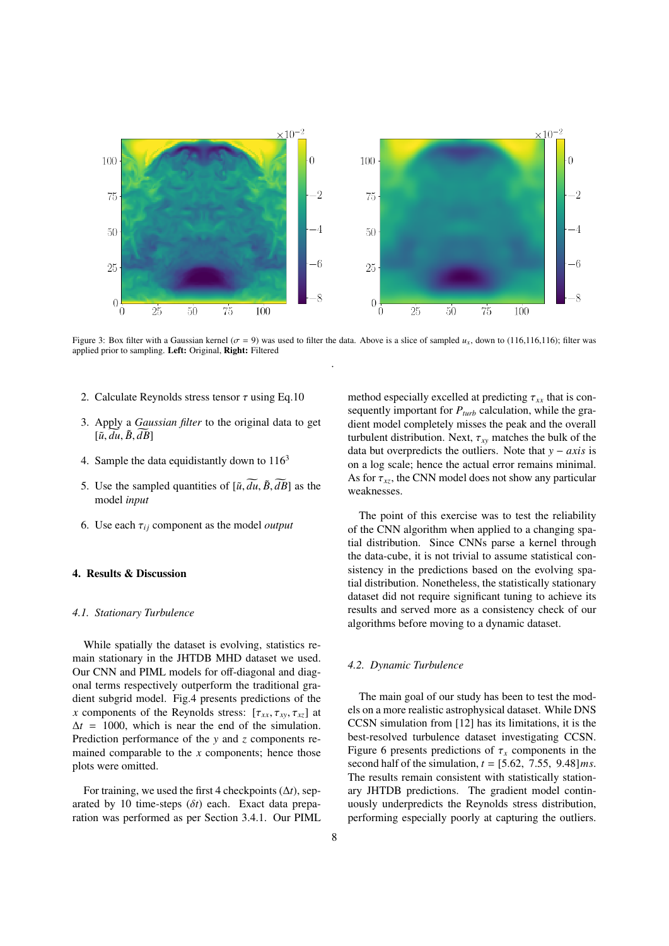

Figure 3: Box filter with a Gaussian kernel ( $\sigma = 9$ ) was used to filter the data. Above is a slice of sampled  $u_x$ , down to (116,116,116); filter was applied prior to sampling. Left: Original, Right: Filtered .

- 2. Calculate Reynolds stress tensor  $\tau$  using Eq.10
- 3. Apply a *Gaussian filter* to the original data to get  $[\tilde{u}, \overline{du}, \tilde{B}, \overline{dB}]$
- 4. Sample the data equidistantly down to  $116<sup>3</sup>$
- 5. Use the sampled quantities of  $[\tilde{u}, \tilde{d}u, \tilde{B}, \tilde{d}B]$  as the model *input*
- 6. Use each  $\tau_{ii}$  component as the model *output*

## 4. Results & Discussion

## *4.1. Stationary Turbulence*

While spatially the dataset is evolving, statistics remain stationary in the JHTDB MHD dataset we used. Our CNN and PIML models for off-diagonal and diagonal terms respectively outperform the traditional gradient subgrid model. Fig.4 presents predictions of the *x* components of the Reynolds stress:  $[\tau_{xx}, \tau_{xy}, \tau_{xz}]$  at  $\Delta t = 1000$ , which is near the end of the simulation. Prediction performance of the *y* and *z* components remained comparable to the *x* components; hence those plots were omitted.

For training, we used the first 4 checkpoints (∆*t*), separated by 10 time-steps (δ*t*) each. Exact data preparation was performed as per Section 3.4.1. Our PIML method especially excelled at predicting  $\tau_{xx}$  that is consequently important for  $P_{turb}$  calculation, while the gradient model completely misses the peak and the overall turbulent distribution. Next,  $\tau_{xy}$  matches the bulk of the data but overpredicts the outliers. Note that *y* − *axis* is on a log scale; hence the actual error remains minimal. As for  $\tau_{xz}$ , the CNN model does not show any particular weaknesses.

The point of this exercise was to test the reliability of the CNN algorithm when applied to a changing spatial distribution. Since CNNs parse a kernel through the data-cube, it is not trivial to assume statistical consistency in the predictions based on the evolving spatial distribution. Nonetheless, the statistically stationary dataset did not require significant tuning to achieve its results and served more as a consistency check of our algorithms before moving to a dynamic dataset.

#### *4.2. Dynamic Turbulence*

The main goal of our study has been to test the models on a more realistic astrophysical dataset. While DNS CCSN simulation from [12] has its limitations, it is the best-resolved turbulence dataset investigating CCSN. Figure 6 presents predictions of  $\tau_x$  components in the second half of the simulation, *<sup>t</sup>* <sup>=</sup> [5.62, <sup>7</sup>.55, <sup>9</sup>.48]*ms*. The results remain consistent with statistically stationary JHTDB predictions. The gradient model continuously underpredicts the Reynolds stress distribution, performing especially poorly at capturing the outliers.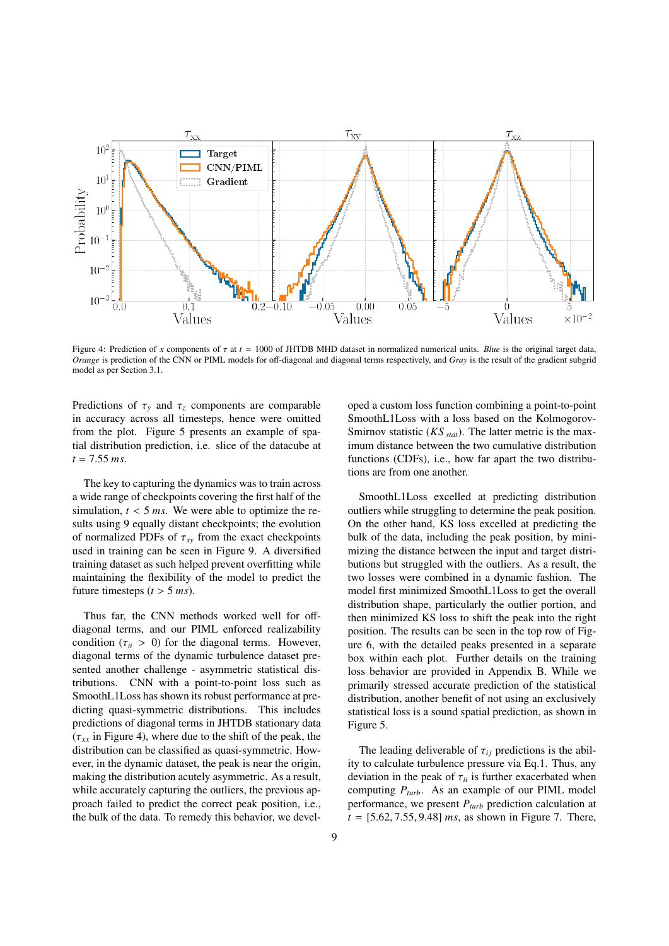

Figure 4: Prediction of *x* components of  $\tau$  at  $t = 1000$  of JHTDB MHD dataset in normalized numerical units. *Blue* is the original target data, *Orange* is prediction of the CNN or PIML models for off-diagonal and diagonal terms respectively, and *Gray* is the result of the gradient subgrid model as per Section 3.1.

Predictions of  $\tau_y$  and  $\tau_z$  components are comparable in accuracy across all timesteps, hence were omitted from the plot. Figure 5 presents an example of spatial distribution prediction, i.e. slice of the datacube at *<sup>t</sup>* <sup>=</sup> <sup>7</sup>.<sup>55</sup> *ms*.

The key to capturing the dynamics was to train across a wide range of checkpoints covering the first half of the simulation,  $t < 5$  *ms*. We were able to optimize the results using 9 equally distant checkpoints; the evolution of normalized PDFs of  $\tau_{xy}$  from the exact checkpoints used in training can be seen in Figure 9. A diversified training dataset as such helped prevent overfitting while maintaining the flexibility of the model to predict the future timesteps  $(t > 5$  *ms*).

Thus far, the CNN methods worked well for offdiagonal terms, and our PIML enforced realizability condition  $(\tau_{ii} > 0)$  for the diagonal terms. However, diagonal terms of the dynamic turbulence dataset presented another challenge - asymmetric statistical distributions. CNN with a point-to-point loss such as SmoothL1Loss has shown its robust performance at predicting quasi-symmetric distributions. This includes predictions of diagonal terms in JHTDB stationary data  $(\tau_{xx}$  in Figure 4), where due to the shift of the peak, the distribution can be classified as quasi-symmetric. However, in the dynamic dataset, the peak is near the origin, making the distribution acutely asymmetric. As a result, while accurately capturing the outliers, the previous approach failed to predict the correct peak position, i.e., the bulk of the data. To remedy this behavior, we developed a custom loss function combining a point-to-point SmoothL1Loss with a loss based on the Kolmogorov-Smirnov statistic (*KS stat*). The latter metric is the maximum distance between the two cumulative distribution functions (CDFs), i.e., how far apart the two distributions are from one another.

SmoothL1Loss excelled at predicting distribution outliers while struggling to determine the peak position. On the other hand, KS loss excelled at predicting the bulk of the data, including the peak position, by minimizing the distance between the input and target distributions but struggled with the outliers. As a result, the two losses were combined in a dynamic fashion. The model first minimized SmoothL1Loss to get the overall distribution shape, particularly the outlier portion, and then minimized KS loss to shift the peak into the right position. The results can be seen in the top row of Figure 6, with the detailed peaks presented in a separate box within each plot. Further details on the training loss behavior are provided in Appendix B. While we primarily stressed accurate prediction of the statistical distribution, another benefit of not using an exclusively statistical loss is a sound spatial prediction, as shown in Figure 5.

The leading deliverable of  $\tau_{ij}$  predictions is the ability to calculate turbulence pressure via Eq.1. Thus, any deviation in the peak of  $\tau_{ii}$  is further exacerbated when computing *Pturb*. As an example of our PIML model performance, we present *Pturb* prediction calculation at  $t = [5.62, 7.55, 9.48]$  *ms*, as shown in Figure 7. There,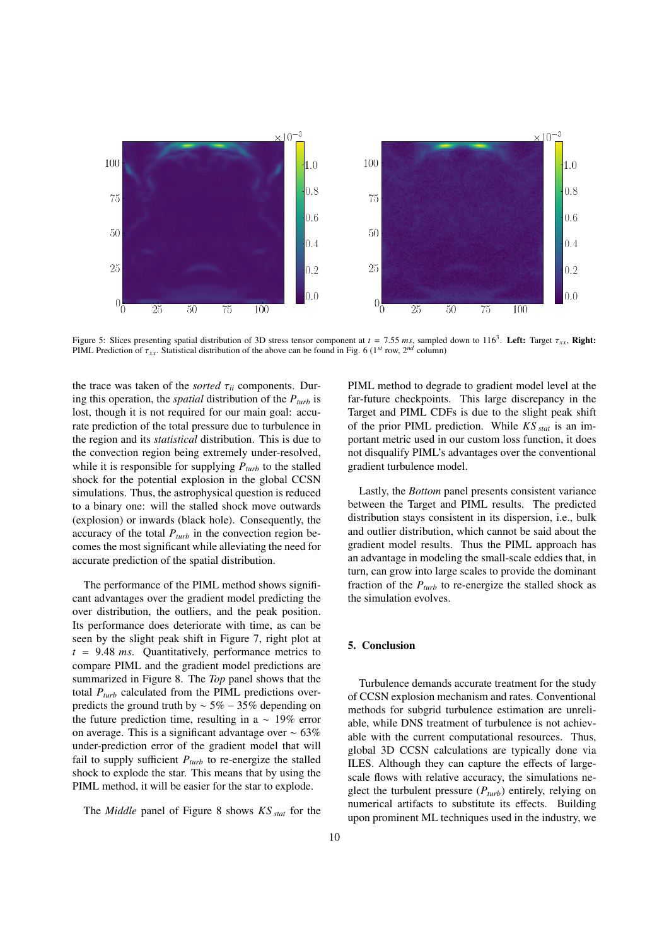

Figure 5: Slices presenting spatial distribution of 3D stress tensor component at  $t = 7.55$  ms, sampled down to  $116^3$ . Left: Target  $\tau_{xx}$ , Right:<br>PIMI Prediction of  $\tau$  Statistical distribution of the above can be fo PIML Prediction of  $\tau_{xx}$ . Statistical distribution of the above can be found in Fig. 6 (1<sup>st</sup> row, 2<sup>nd</sup> column)

the trace was taken of the *sorted* <sup>τ</sup>*ii* components. During this operation, the *spatial* distribution of the *Pturb* is lost, though it is not required for our main goal: accurate prediction of the total pressure due to turbulence in the region and its *statistical* distribution. This is due to the convection region being extremely under-resolved, while it is responsible for supplying  $P_{turb}$  to the stalled shock for the potential explosion in the global CCSN simulations. Thus, the astrophysical question is reduced to a binary one: will the stalled shock move outwards (explosion) or inwards (black hole). Consequently, the accuracy of the total  $P_{turb}$  in the convection region becomes the most significant while alleviating the need for accurate prediction of the spatial distribution.

The performance of the PIML method shows significant advantages over the gradient model predicting the over distribution, the outliers, and the peak position. Its performance does deteriorate with time, as can be seen by the slight peak shift in Figure 7, right plot at *<sup>t</sup>* <sup>=</sup> <sup>9</sup>.<sup>48</sup> *ms*. Quantitatively, performance metrics to compare PIML and the gradient model predictions are summarized in Figure 8. The *Top* panel shows that the total  $P_{turb}$  calculated from the PIML predictions overpredicts the ground truth by  $\sim$  5% − 35% depending on the future prediction time, resulting in a  $\sim 19\%$  error on average. This is a significant advantage over ∼ 63% under-prediction error of the gradient model that will fail to supply sufficient  $P_{turb}$  to re-energize the stalled shock to explode the star. This means that by using the PIML method, it will be easier for the star to explode.

The *Middle* panel of Figure 8 shows *KS stat* for the

PIML method to degrade to gradient model level at the far-future checkpoints. This large discrepancy in the Target and PIML CDFs is due to the slight peak shift of the prior PIML prediction. While *KS stat* is an important metric used in our custom loss function, it does not disqualify PIML's advantages over the conventional gradient turbulence model.

Lastly, the *Bottom* panel presents consistent variance between the Target and PIML results. The predicted distribution stays consistent in its dispersion, i.e., bulk and outlier distribution, which cannot be said about the gradient model results. Thus the PIML approach has an advantage in modeling the small-scale eddies that, in turn, can grow into large scales to provide the dominant fraction of the  $P_{turb}$  to re-energize the stalled shock as the simulation evolves.

## 5. Conclusion

Turbulence demands accurate treatment for the study of CCSN explosion mechanism and rates. Conventional methods for subgrid turbulence estimation are unreliable, while DNS treatment of turbulence is not achievable with the current computational resources. Thus, global 3D CCSN calculations are typically done via ILES. Although they can capture the effects of largescale flows with relative accuracy, the simulations neglect the turbulent pressure  $(P_{turb})$  entirely, relying on numerical artifacts to substitute its effects. Building upon prominent ML techniques used in the industry, we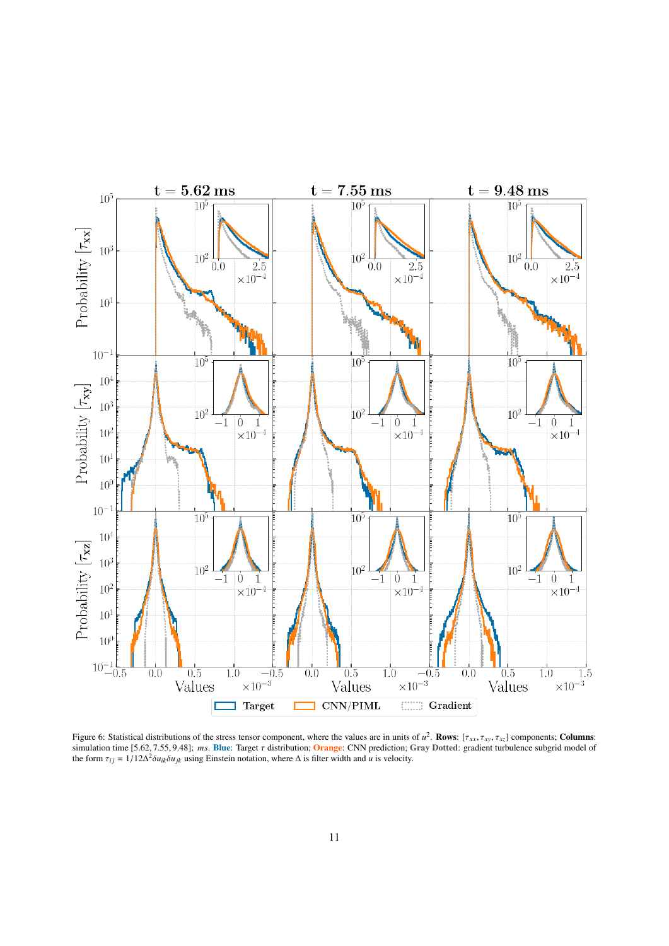

Figure 6: Statistical distributions of the stress tensor component, where the values are in units of  $u^2$ . **Rows**:  $[\tau_{xx}, \tau_{xy}, \tau_{xz}]$  components; **Columns:**<br>simulation time 15.62.7.55.9.481; ms. **Ring:** Target  $\tau$  distri simulation time [5.62, <sup>7</sup>.55, <sup>9</sup>.48]; *ms*. Blue: Target τ distribution; Orange: CNN prediction; Gray Dotted: gradient turbulence subgrid model of the form  $\tau_{ij} = 1/12\Delta^2 \delta u_{ik} \delta u_{jk}$  using Einstein notation, where  $\Delta$  is filter width and *u* is velocity.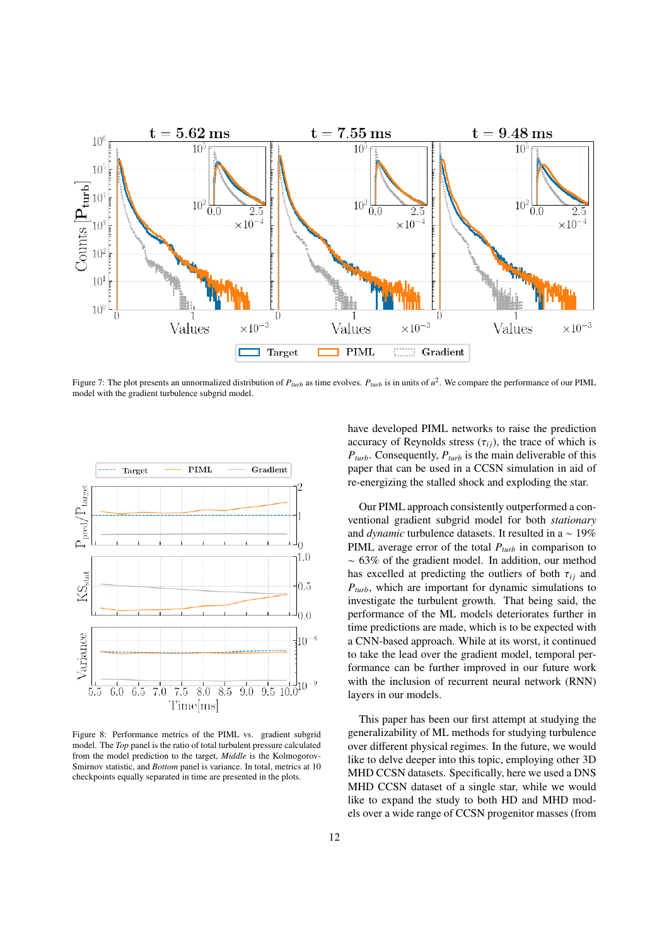

Figure 7: The plot presents an unnormalized distribution of *Pturb* as time evolves. *Pturb* is in units of *u* 2 . We compare the performance of our PIML model with the gradient turbulence subgrid model.



Figure 8: Performance metrics of the PIML vs. gradient subgrid model. The *Top* panel is the ratio of total turbulent pressure calculated from the model prediction to the target, *Middle* is the Kolmogorov-Smirnov statistic, and *Bottom* panel is variance. In total, metrics at 10 checkpoints equally separated in time are presented in the plots.

have developed PIML networks to raise the prediction accuracy of Reynolds stress  $(\tau_{ij})$ , the trace of which is *Pturb*. Consequently, *Pturb* is the main deliverable of this paper that can be used in a CCSN simulation in aid of re-energizing the stalled shock and exploding the star.

Our PIML approach consistently outperformed a conventional gradient subgrid model for both *stationary* and *dynamic* turbulence datasets. It resulted in a ∼ 19% PIML average error of the total *Pturb* in comparison to ∼ 63% of the gradient model. In addition, our method has excelled at predicting the outliers of both  $\tau_{ij}$  and *Pturb*, which are important for dynamic simulations to investigate the turbulent growth. That being said, the performance of the ML models deteriorates further in time predictions are made, which is to be expected with a CNN-based approach. While at its worst, it continued to take the lead over the gradient model, temporal performance can be further improved in our future work with the inclusion of recurrent neural network (RNN) layers in our models.

This paper has been our first attempt at studying the generalizability of ML methods for studying turbulence over different physical regimes. In the future, we would like to delve deeper into this topic, employing other 3D MHD CCSN datasets. Specifically, here we used a DNS MHD CCSN dataset of a single star, while we would like to expand the study to both HD and MHD models over a wide range of CCSN progenitor masses (from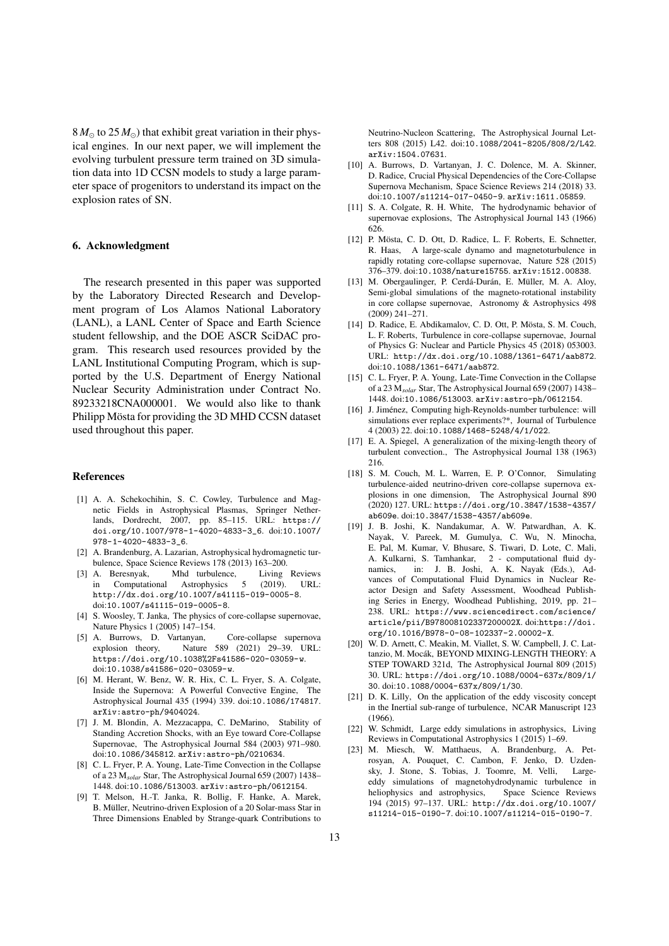$8 M_{\odot}$  to  $25 M_{\odot}$ ) that exhibit great variation in their physical engines. In our next paper, we will implement the evolving turbulent pressure term trained on 3D simulation data into 1D CCSN models to study a large parameter space of progenitors to understand its impact on the explosion rates of SN.

## 6. Acknowledgment

The research presented in this paper was supported by the Laboratory Directed Research and Development program of Los Alamos National Laboratory (LANL), a LANL Center of Space and Earth Science student fellowship, and the DOE ASCR SciDAC program. This research used resources provided by the LANL Institutional Computing Program, which is supported by the U.S. Department of Energy National Nuclear Security Administration under Contract No. 89233218CNA000001. We would also like to thank Philipp Mösta for providing the 3D MHD CCSN dataset used throughout this paper.

## References

- [1] A. A. Schekochihin, S. C. Cowley, Turbulence and Magnetic Fields in Astrophysical Plasmas, Springer Netherlands, Dordrecht, 2007, pp. 85–115. URL: https:// doi.org/10.1007/978-1-4020-4833-3\_6. doi:10.1007/ 978-1-4020-4833-3\_6.
- [2] A. Brandenburg, A. Lazarian, Astrophysical hydromagnetic turbulence, Space Science Reviews 178 (2013) 163–200.
- [3] A. Beresnyak, Mhd turbulence, Living Reviews<br>in Computational Astrophysics 5 (2019). URL: in Computational Astrophysics 5 http://dx.doi.org/10.1007/s41115-019-0005-8. doi:10.1007/s41115-019-0005-8.
- [4] S. Woosley, T. Janka, The physics of core-collapse supernovae, Nature Physics 1 (2005) 147–154.
- [5] A. Burrows, D. Vartanyan, Core-collapse supernova explosion theory, Nature 589 (2021) 29–39. URL: https://doi.org/10.1038%2Fs41586-020-03059-w. doi:10.1038/s41586-020-03059-w.
- [6] M. Herant, W. Benz, W. R. Hix, C. L. Fryer, S. A. Colgate, Inside the Supernova: A Powerful Convective Engine, The Astrophysical Journal 435 (1994) 339. doi:10.1086/174817. arXiv:astro-ph/9404024.
- [7] J. M. Blondin, A. Mezzacappa, C. DeMarino, Stability of Standing Accretion Shocks, with an Eye toward Core-Collapse Supernovae, The Astrophysical Journal 584 (2003) 971–980. doi:10.1086/345812. arXiv:astro-ph/0210634.
- [8] C. L. Fryer, P. A. Young, Late-Time Convection in the Collapse of a 23 M*solar* Star, The Astrophysical Journal 659 (2007) 1438– 1448. doi:10.1086/513003. arXiv:astro-ph/0612154.
- [9] T. Melson, H.-T. Janka, R. Bollig, F. Hanke, A. Marek, B. Müller, Neutrino-driven Explosion of a 20 Solar-mass Star in Three Dimensions Enabled by Strange-quark Contributions to

Neutrino-Nucleon Scattering, The Astrophysical Journal Letters 808 (2015) L42. doi:10.1088/2041-8205/808/2/L42. arXiv:1504.07631.

- [10] A. Burrows, D. Vartanyan, J. C. Dolence, M. A. Skinner, D. Radice, Crucial Physical Dependencies of the Core-Collapse Supernova Mechanism, Space Science Reviews 214 (2018) 33. doi:10.1007/s11214-017-0450-9. arXiv:1611.05859.
- [11] S. A. Colgate, R. H. White, The hydrodynamic behavior of supernovae explosions, The Astrophysical Journal 143 (1966) 626.
- [12] P. Mösta, C. D. Ott, D. Radice, L. F. Roberts, E. Schnetter, R. Haas, A large-scale dynamo and magnetoturbulence in rapidly rotating core-collapse supernovae, Nature 528 (2015) 376–379. doi:10.1038/nature15755. arXiv:1512.00838.
- [13] M. Obergaulinger, P. Cerdá-Durán, E. Müller, M. A. Aloy, Semi-global simulations of the magneto-rotational instability in core collapse supernovae, Astronomy & Astrophysics 498 (2009) 241–271.
- [14] D. Radice, E. Abdikamalov, C. D. Ott, P. Mösta, S. M. Couch, L. F. Roberts, Turbulence in core-collapse supernovae, Journal of Physics G: Nuclear and Particle Physics 45 (2018) 053003. URL: http://dx.doi.org/10.1088/1361-6471/aab872. doi:10.1088/1361-6471/aab872.
- [15] C. L. Fryer, P. A. Young, Late-Time Convection in the Collapse of a 23 M*solar* Star, The Astrophysical Journal 659 (2007) 1438– 1448. doi:10.1086/513003. arXiv:astro-ph/0612154.
- [16] J. Jiménez, Computing high-Reynolds-number turbulence: will simulations ever replace experiments?\*, Journal of Turbulence 4 (2003) 22. doi:10.1088/1468-5248/4/1/022.
- [17] E. A. Spiegel, A generalization of the mixing-length theory of turbulent convection., The Astrophysical Journal 138 (1963) 216.
- [18] S. M. Couch, M. L. Warren, E. P. O'Connor, Simulating turbulence-aided neutrino-driven core-collapse supernova explosions in one dimension, The Astrophysical Journal 890 (2020) 127. URL: https://doi.org/10.3847/1538-4357/ ab609e. doi:10.3847/1538-4357/ab609e.
- [19] J. B. Joshi, K. Nandakumar, A. W. Patwardhan, A. K. Nayak, V. Pareek, M. Gumulya, C. Wu, N. Minocha, E. Pal, M. Kumar, V. Bhusare, S. Tiwari, D. Lote, C. Mali, A. Kulkarni, S. Tamhankar, 2 - computational fluid dynamics, in: J. B. Joshi, A. K. Nayak (Eds.), Advances of Computational Fluid Dynamics in Nuclear Reactor Design and Safety Assessment, Woodhead Publishing Series in Energy, Woodhead Publishing, 2019, pp. 21– 238. URL: https://www.sciencedirect.com/science/ article/pii/B978008102337200002X. doi:https://doi. org/10.1016/B978-0-08-102337-2.00002-X.
- [20] W. D. Arnett, C. Meakin, M. Viallet, S. W. Campbell, J. C. Lattanzio, M. Mocák, BEYOND MIXING-LENGTH THEORY: A STEP TOWARD 321d, The Astrophysical Journal 809 (2015) 30. URL: https://doi.org/10.1088/0004-637x/809/1/ 30. doi:10.1088/0004-637x/809/1/30.
- [21] D. K. Lilly, On the application of the eddy viscosity concept in the Inertial sub-range of turbulence, NCAR Manuscript 123 (1966).
- [22] W. Schmidt, Large eddy simulations in astrophysics, Living Reviews in Computational Astrophysics 1 (2015) 1–69.
- [23] M. Miesch, W. Matthaeus, A. Brandenburg, A. Petrosyan, A. Pouquet, C. Cambon, F. Jenko, D. Uzdensky, J. Stone, S. Tobias, J. Toomre, M. Velli, Largeeddy simulations of magnetohydrodynamic turbulence in heliophysics and astrophysics, Space Science Reviews heliophysics and astrophysics, 194 (2015) 97–137. URL: http://dx.doi.org/10.1007/ s11214-015-0190-7. doi:10.1007/s11214-015-0190-7.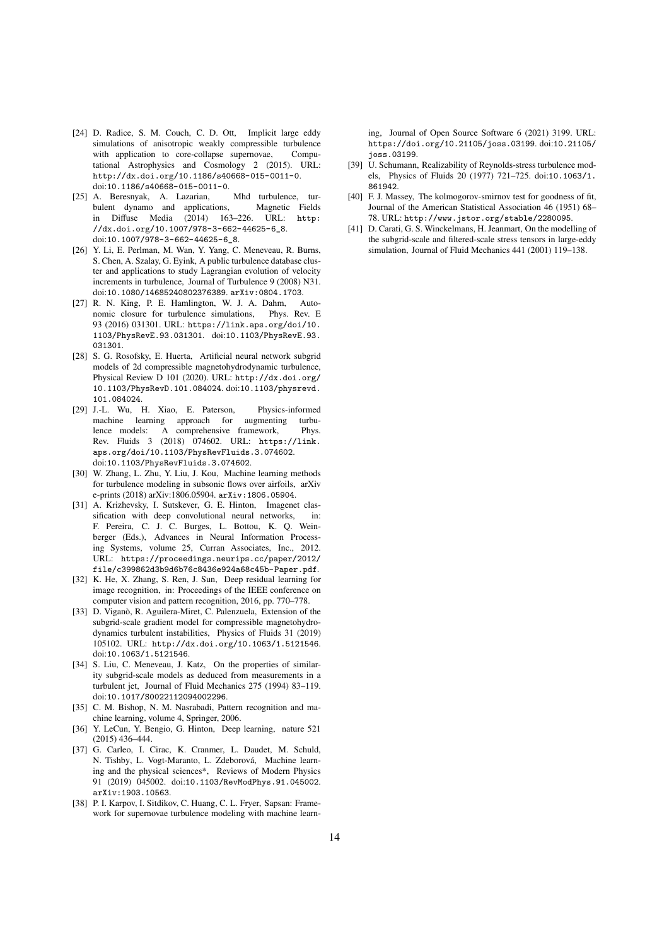- [24] D. Radice, S. M. Couch, C. D. Ott. Implicit large eddy simulations of anisotropic weakly compressible turbulence with application to core-collapse supernovae, Computational Astrophysics and Cosmology 2 (2015). URL: http://dx.doi.org/10.1186/s40668-015-0011-0. doi:10.1186/s40668-015-0011-0.
- [25] A. Beresnyak, A. Lazarian, Mhd turbulence, turbulent dynamo and applications, Magnetic Fields in Diffuse Media (2014) 163–226. URL: http: //dx.doi.org/10.1007/978-3-662-44625-6\_8. doi:10.1007/978-3-662-44625-6\_8.
- [26] Y. Li, E. Perlman, M. Wan, Y. Yang, C. Meneveau, R. Burns, S. Chen, A. Szalay, G. Eyink, A public turbulence database cluster and applications to study Lagrangian evolution of velocity increments in turbulence, Journal of Turbulence 9 (2008) N31. doi:10.1080/14685240802376389. arXiv:0804.1703.
- [27] R. N. King, P. E. Hamlington, W. J. A. Dahm, Autonomic closure for turbulence simulations, Phys. Rev. E 93 (2016) 031301. URL: https://link.aps.org/doi/10. 1103/PhysRevE.93.031301. doi:10.1103/PhysRevE.93. 031301.
- [28] S. G. Rosofsky, E. Huerta, Artificial neural network subgrid models of 2d compressible magnetohydrodynamic turbulence, Physical Review D 101 (2020). URL: http://dx.doi.org/ 10.1103/PhysRevD.101.084024. doi:10.1103/physrevd. 101.084024.
- [29] J.-L. Wu, H. Xiao, E. Paterson, Physics-informed machine learning approach for augmenting turbulence models: A comprehensive framework, Phys. Rev. Fluids 3 (2018) 074602. URL: https://link. aps.org/doi/10.1103/PhysRevFluids.3.074602. doi:10.1103/PhysRevFluids.3.074602.
- [30] W. Zhang, L. Zhu, Y. Liu, J. Kou, Machine learning methods for turbulence modeling in subsonic flows over airfoils, arXiv e-prints (2018) arXiv:1806.05904. arXiv:1806.05904.
- [31] A. Krizhevsky, I. Sutskever, G. E. Hinton, Imagenet classification with deep convolutional neural networks, in: F. Pereira, C. J. C. Burges, L. Bottou, K. Q. Weinberger (Eds.), Advances in Neural Information Processing Systems, volume 25, Curran Associates, Inc., 2012. URL: https://proceedings.neurips.cc/paper/2012/ file/c399862d3b9d6b76c8436e924a68c45b-Paper.pdf.
- [32] K. He, X. Zhang, S. Ren, J. Sun, Deep residual learning for image recognition, in: Proceedings of the IEEE conference on computer vision and pattern recognition, 2016, pp. 770–778.
- [33] D. Viganò, R. Aguilera-Miret, C. Palenzuela, Extension of the subgrid-scale gradient model for compressible magnetohydrodynamics turbulent instabilities, Physics of Fluids 31 (2019) 105102. URL: http://dx.doi.org/10.1063/1.5121546. doi:10.1063/1.5121546.
- [34] S. Liu, C. Meneveau, J. Katz, On the properties of similarity subgrid-scale models as deduced from measurements in a turbulent jet, Journal of Fluid Mechanics 275 (1994) 83–119. doi:10.1017/S0022112094002296.
- [35] C. M. Bishop, N. M. Nasrabadi, Pattern recognition and machine learning, volume 4, Springer, 2006.
- [36] Y. LeCun, Y. Bengio, G. Hinton, Deep learning, nature 521 (2015) 436–444.
- [37] G. Carleo, I. Cirac, K. Cranmer, L. Daudet, M. Schuld, N. Tishby, L. Vogt-Maranto, L. Zdeborová, Machine learning and the physical sciences\*, Reviews of Modern Physics 91 (2019) 045002. doi:10.1103/RevModPhys.91.045002. arXiv:1903.10563.
- [38] P. I. Karpov, I. Sitdikov, C. Huang, C. L. Fryer, Sapsan: Framework for supernovae turbulence modeling with machine learn-

ing, Journal of Open Source Software 6 (2021) 3199. URL: https://doi.org/10.21105/joss.03199. doi:10.21105/ joss.03199.

- [39] U. Schumann, Realizability of Reynolds-stress turbulence models, Physics of Fluids 20 (1977) 721–725. doi:10.1063/1. 861942.
- [40] F. J. Massey, The kolmogorov-smirnov test for goodness of fit, Journal of the American Statistical Association 46 (1951) 68– 78. URL: http://www.jstor.org/stable/2280095.
- [41] D. Carati, G. S. Winckelmans, H. Jeanmart, On the modelling of the subgrid-scale and filtered-scale stress tensors in large-eddy simulation, Journal of Fluid Mechanics 441 (2001) 119–138.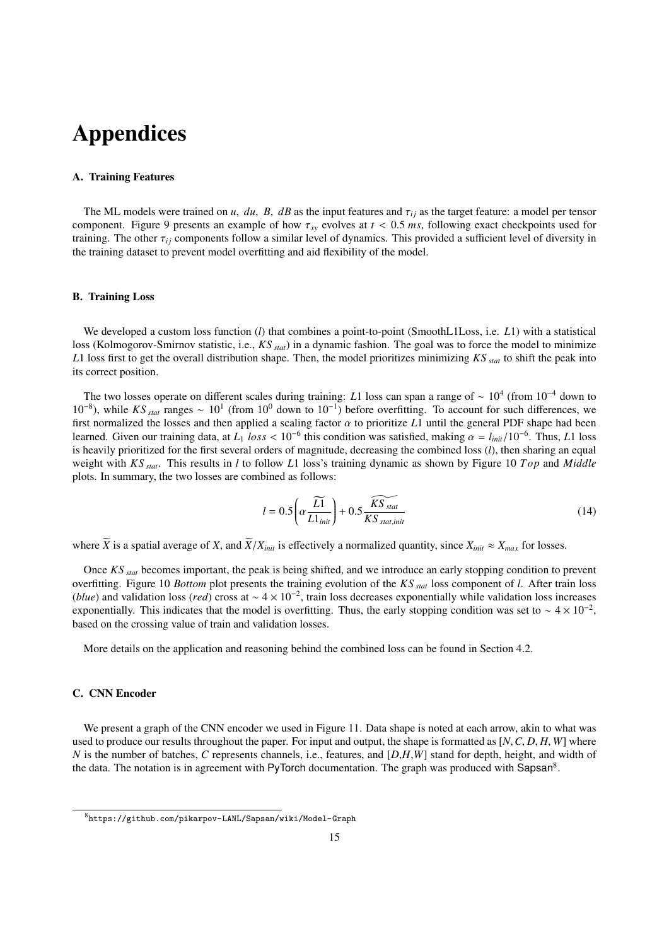# Appendices

## A. Training Features

The ML models were trained on *u*, *du*, *B*, *dB* as the input features and  $\tau_{ij}$  as the target feature: a model per tensor component. Figure 9 presents an example of how  $\tau_{xy}$  evolves at  $t < 0.5$  *ms*, following exact checkpoints used for training. The other  $\tau_{ij}$  components follow a similar level of dynamics. This provided a sufficient level of diversity in the training dataset to prevent model overfitting and aid flexibility of the model.

#### B. Training Loss

We developed a custom loss function (*l*) that combines a point-to-point (SmoothL1Loss, i.e. *L*1) with a statistical loss (Kolmogorov-Smirnov statistic, i.e., *KS stat*) in a dynamic fashion. The goal was to force the model to minimize *L*1 loss first to get the overall distribution shape. Then, the model prioritizes minimizing *KS stat* to shift the peak into its correct position.

The two losses operate on different scales during training: *L*1 loss can span a range of ~ 10<sup>4</sup> (from 10<sup>-4</sup> down to 10<sup>-8</sup>), while *KS* <sub>*stat*</sub> ranges ~ 10<sup>1</sup> (from 10<sup>0</sup> down to 10<sup>-1</sup>) before overfitting. To account for such differences, we first normalized the losses and then applied a scaling factor α to prioritize *<sup>L</sup>*1 until the general PDF shape had been learned. Given our training data, at  $L_1$  *loss* < 10<sup>-6</sup> this condition was satisfied, making  $\alpha = l_{init}/10^{-6}$ . Thus, *L*1 loss is heavily prioritized for the first several orders of magnitude, decreasing the combined los is heavily prioritized for the first several orders of magnitude, decreasing the combined loss (*l*), then sharing an equal weight with *KS stat*. This results in *l* to follow *L*1 loss's training dynamic as shown by Figure 10 *T op* and *Middle* plots. In summary, the two losses are combined as follows:

$$
l = 0.5 \left( \alpha \frac{\widetilde{L1}}{L1_{init}} \right) + 0.5 \frac{\widetilde{KS}_{stat}}{KS_{stat,init}} \tag{14}
$$

where  $\widetilde{X}$  is a spatial average of *X*, and  $\widetilde{X}/X_{init}$  is effectively a normalized quantity, since  $X_{init} \approx X_{max}$  for losses.

Once *KS stat* becomes important, the peak is being shifted, and we introduce an early stopping condition to prevent overfitting. Figure 10 *Bottom* plot presents the training evolution of the *KS stat* loss component of *l*. After train loss (*blue*) and validation loss (*red*) cross at ~  $4 \times 10^{-2}$ , train loss decreases exponentially while validation loss increases exponentially. This indicates that the model is overfitting. Thus, the early stopping condition was set to ~  $4 \times 10^{-2}$ , based on the crossing value of train and validation losses.

More details on the application and reasoning behind the combined loss can be found in Section 4.2.

#### C. CNN Encoder

We present a graph of the CNN encoder we used in Figure 11. Data shape is noted at each arrow, akin to what was used to produce our results throughout the paper. For input and output, the shape is formatted as [*N*,*C*, *<sup>D</sup>*, *<sup>H</sup>*, *<sup>W</sup>*] where *N* is the number of batches, *C* represents channels, i.e., features, and [*D*,*H*,*W*] stand for depth, height, and width of the data. The notation is in agreement with PyTorch documentation. The graph was produced with Sapsan<sup>8</sup>.

<sup>8</sup>https://github.com/pikarpov-LANL/Sapsan/wiki/Model-Graph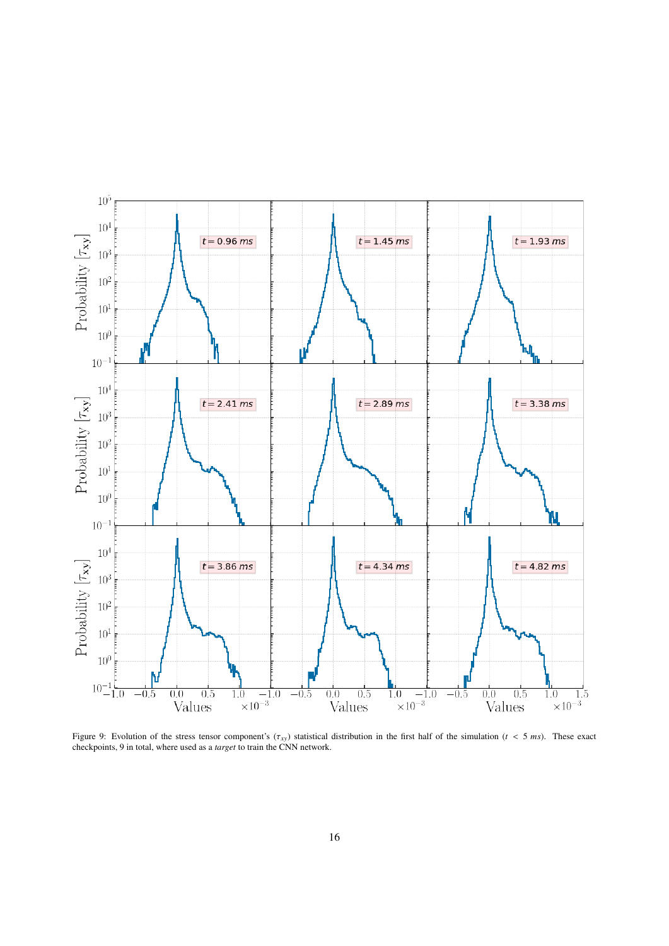

Figure 9: Evolution of the stress tensor component's  $(\tau_{xy})$  statistical distribution in the first half of the simulation ( $t < 5$  ms). These exact checkpoints, 9 in total, where used as a *target* to train the CNN network.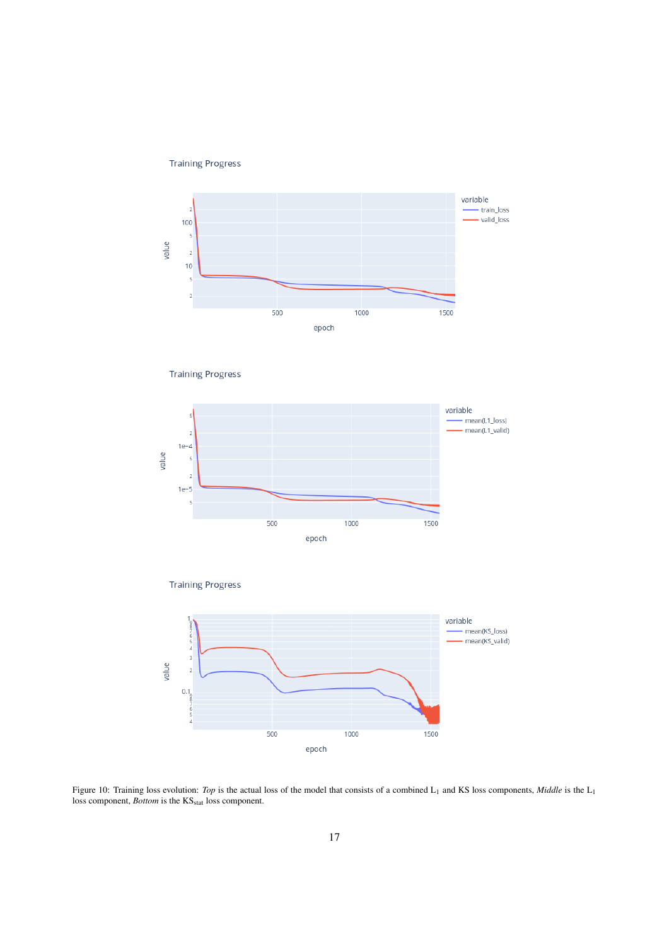**Training Progress** 



**Training Progress** 







Figure 10: Training loss evolution: *Top* is the actual loss of the model that consists of a combined L<sub>1</sub> and KS loss components, *Middle* is the L<sub>1</sub> loss component, *Bottom* is the KS<sub>stat</sub> loss component.